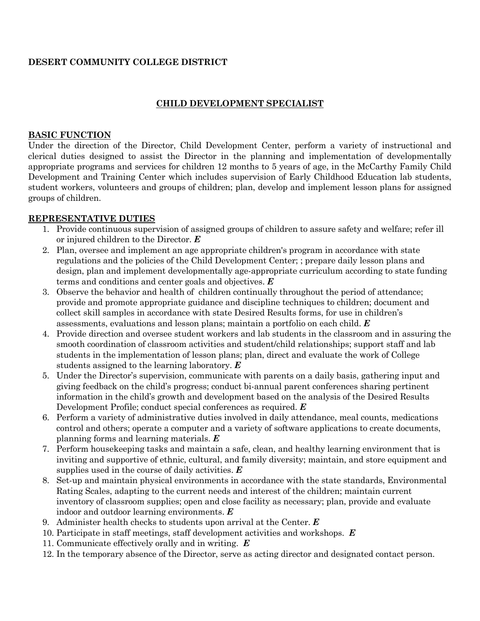# **DESERT COMMUNITY COLLEGE DISTRICT**

# **CHILD DEVELOPMENT SPECIALIST**

### **BASIC FUNCTION**

Under the direction of the Director, Child Development Center, perform a variety of instructional and clerical duties designed to assist the Director in the planning and implementation of developmentally appropriate programs and services for children 12 months to 5 years of age, in the McCarthy Family Child Development and Training Center which includes supervision of Early Childhood Education lab students, student workers, volunteers and groups of children; plan, develop and implement lesson plans for assigned groups of children.

### **REPRESENTATIVE DUTIES**

- 1. Provide continuous supervision of assigned groups of children to assure safety and welfare; refer ill or injured children to the Director. *E*
- 2. Plan, oversee and implement an age appropriate children's program in accordance with state regulations and the policies of the Child Development Center; ; prepare daily lesson plans and design, plan and implement developmentally age-appropriate curriculum according to state funding terms and conditions and center goals and objectives. *E*
- 3. Observe the behavior and health of children continually throughout the period of attendance; provide and promote appropriate guidance and discipline techniques to children; document and collect skill samples in accordance with state Desired Results forms, for use in children's assessments, evaluations and lesson plans; maintain a portfolio on each child. *E*
- 4. Provide direction and oversee student workers and lab students in the classroom and in assuring the smooth coordination of classroom activities and student/child relationships; support staff and lab students in the implementation of lesson plans; plan, direct and evaluate the work of College students assigned to the learning laboratory. *E*
- 5. Under the Director's supervision, communicate with parents on a daily basis, gathering input and giving feedback on the child's progress; conduct bi-annual parent conferences sharing pertinent information in the child's growth and development based on the analysis of the Desired Results Development Profile; conduct special conferences as required. *E*
- 6. Perform a variety of administrative duties involved in daily attendance, meal counts, medications control and others; operate a computer and a variety of software applications to create documents, planning forms and learning materials. *E*
- 7. Perform housekeeping tasks and maintain a safe, clean, and healthy learning environment that is inviting and supportive of ethnic, cultural, and family diversity; maintain, and store equipment and supplies used in the course of daily activities. *E*
- 8. Set-up and maintain physical environments in accordance with the state standards, Environmental Rating Scales, adapting to the current needs and interest of the children; maintain current inventory of classroom supplies; open and close facility as necessary; plan, provide and evaluate indoor and outdoor learning environments. *E*
- 9. Administer health checks to students upon arrival at the Center. *E*
- 10. Participate in staff meetings, staff development activities and workshops. *E*
- 11. Communicate effectively orally and in writing. *E*
- 12. In the temporary absence of the Director, serve as acting director and designated contact person.